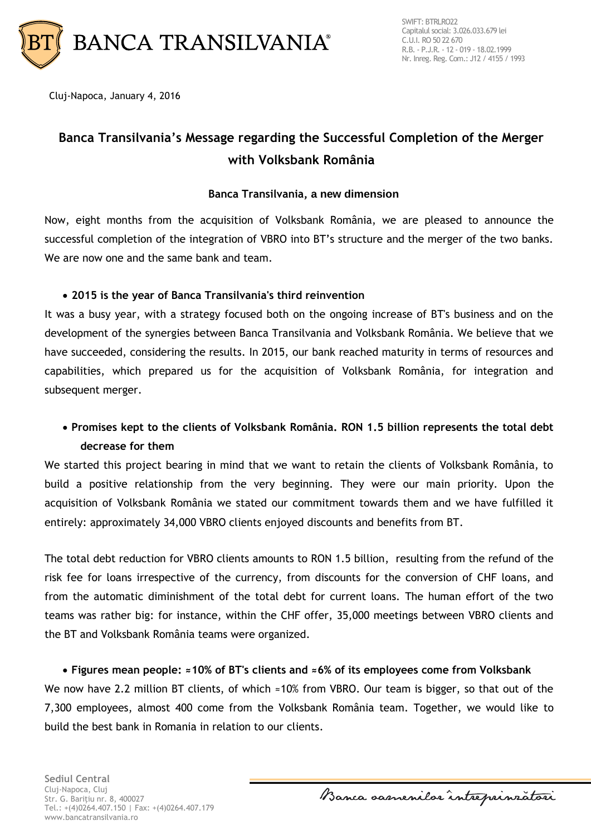

Cluj-Napoca, January 4, 2016

# **Banca Transilvania's Message regarding the Successful Completion of the Merger with Volksbank România**

## **Banca Transilvania, a new dimension**

Now, eight months from the acquisition of Volksbank România, we are pleased to announce the successful completion of the integration of VBRO into BT's structure and the merger of the two banks. We are now one and the same bank and team.

## **2015 is the year of Banca Transilvania's third reinvention**

It was a busy year, with a strategy focused both on the ongoing increase of BT's business and on the development of the synergies between Banca Transilvania and Volksbank România. We believe that we have succeeded, considering the results. In 2015, our bank reached maturity in terms of resources and capabilities, which prepared us for the acquisition of Volksbank România, for integration and subsequent merger.

# **Promises kept to the clients of Volksbank România. RON 1.5 billion represents the total debt decrease for them**

We started this project bearing in mind that we want to retain the clients of Volksbank România, to build a positive relationship from the very beginning. They were our main priority. Upon the acquisition of Volksbank România we stated our commitment towards them and we have fulfilled it entirely: approximately 34,000 VBRO clients enjoyed discounts and benefits from BT.

The total debt reduction for VBRO clients amounts to RON 1.5 billion, resulting from the refund of the risk fee for loans irrespective of the currency, from discounts for the conversion of CHF loans, and from the automatic diminishment of the total debt for current loans. The human effort of the two teams was rather big: for instance, within the CHF offer, 35,000 meetings between VBRO clients and the BT and Volksbank România teams were organized.

 **Figures mean people: ≈10% of BT's clients and ≈6% of its employees come from Volksbank** We now have 2.2 million BT clients, of which ≈10% from VBRO. Our team is bigger, so that out of the 7,300 employees, almost 400 come from the Volksbank România team. Together, we would like to build the best bank in Romania in relation to our clients.

Banca samenilor intreprinzatori